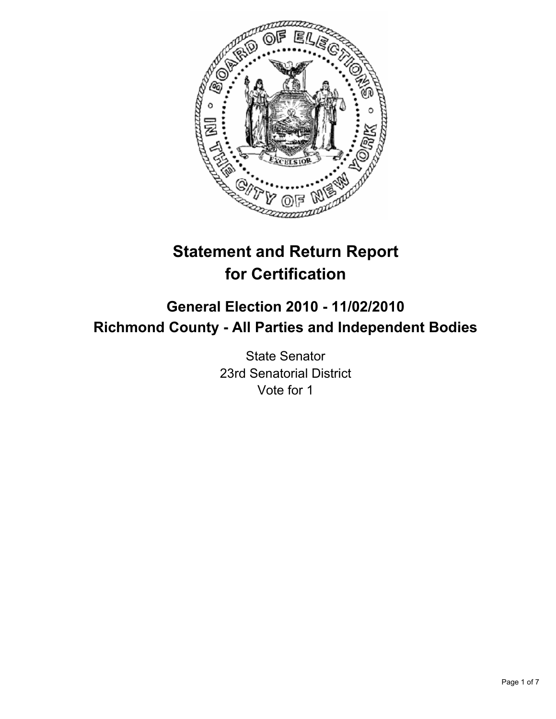

# **Statement and Return Report for Certification**

## **General Election 2010 - 11/02/2010 Richmond County - All Parties and Independent Bodies**

State Senator 23rd Senatorial District Vote for 1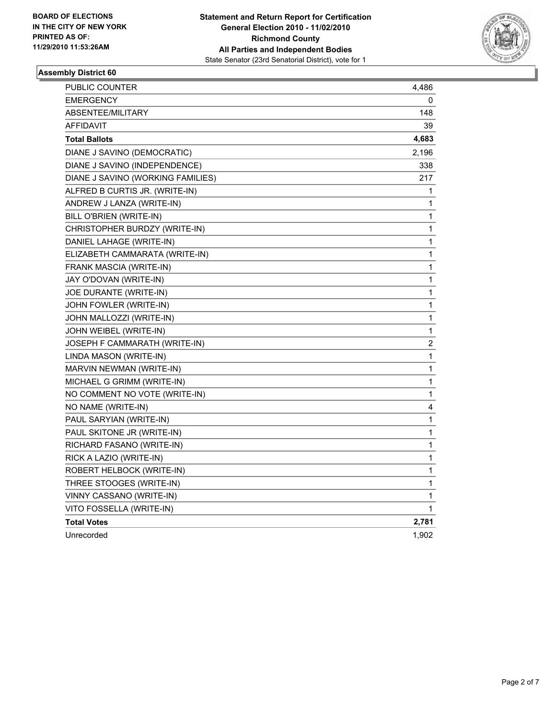

## **Assembly District 60**

| PUBLIC COUNTER                    | 4,486 |
|-----------------------------------|-------|
| <b>EMERGENCY</b>                  | 0     |
| ABSENTEE/MILITARY                 | 148   |
| AFFIDAVIT                         | 39    |
| <b>Total Ballots</b>              | 4,683 |
| DIANE J SAVINO (DEMOCRATIC)       | 2,196 |
| DIANE J SAVINO (INDEPENDENCE)     | 338   |
| DIANE J SAVINO (WORKING FAMILIES) | 217   |
| ALFRED B CURTIS JR. (WRITE-IN)    | 1     |
| ANDREW J LANZA (WRITE-IN)         | 1     |
| BILL O'BRIEN (WRITE-IN)           | 1     |
| CHRISTOPHER BURDZY (WRITE-IN)     | 1     |
| DANIEL LAHAGE (WRITE-IN)          | 1     |
| ELIZABETH CAMMARATA (WRITE-IN)    | 1     |
| FRANK MASCIA (WRITE-IN)           | 1     |
| JAY O'DOVAN (WRITE-IN)            | 1     |
| JOE DURANTE (WRITE-IN)            | 1     |
| JOHN FOWLER (WRITE-IN)            | 1     |
| JOHN MALLOZZI (WRITE-IN)          | 1     |
| JOHN WEIBEL (WRITE-IN)            | 1     |
| JOSEPH F CAMMARATH (WRITE-IN)     | 2     |
| LINDA MASON (WRITE-IN)            | 1     |
| MARVIN NEWMAN (WRITE-IN)          | 1     |
| MICHAEL G GRIMM (WRITE-IN)        | 1     |
| NO COMMENT NO VOTE (WRITE-IN)     | 1     |
| NO NAME (WRITE-IN)                | 4     |
| PAUL SARYIAN (WRITE-IN)           | 1     |
| PAUL SKITONE JR (WRITE-IN)        | 1     |
| RICHARD FASANO (WRITE-IN)         | 1     |
| RICK A LAZIO (WRITE-IN)           | 1     |
| ROBERT HELBOCK (WRITE-IN)         | 1     |
| THREE STOOGES (WRITE-IN)          | 1     |
| VINNY CASSANO (WRITE-IN)          | 1     |
| VITO FOSSELLA (WRITE-IN)          | 1     |
| <b>Total Votes</b>                | 2,781 |
| Unrecorded                        | 1,902 |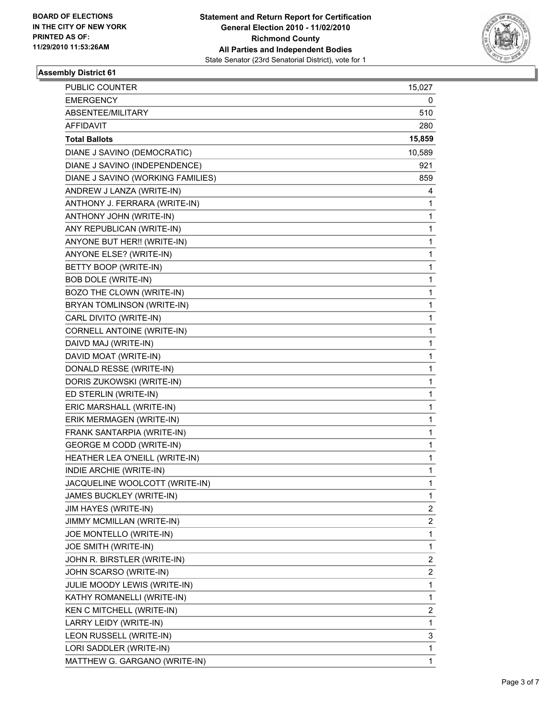

## **Assembly District 61**

| PUBLIC COUNTER                    | 15,027 |
|-----------------------------------|--------|
| <b>EMERGENCY</b>                  | 0      |
| ABSENTEE/MILITARY                 | 510    |
| <b>AFFIDAVIT</b>                  | 280    |
| <b>Total Ballots</b>              | 15,859 |
| DIANE J SAVINO (DEMOCRATIC)       | 10,589 |
| DIANE J SAVINO (INDEPENDENCE)     | 921    |
| DIANE J SAVINO (WORKING FAMILIES) | 859    |
| ANDREW J LANZA (WRITE-IN)         | 4      |
| ANTHONY J. FERRARA (WRITE-IN)     | 1      |
| ANTHONY JOHN (WRITE-IN)           | 1      |
| ANY REPUBLICAN (WRITE-IN)         | 1      |
| ANYONE BUT HER!! (WRITE-IN)       | 1      |
| ANYONE ELSE? (WRITE-IN)           | 1      |
| BETTY BOOP (WRITE-IN)             | 1      |
| <b>BOB DOLE (WRITE-IN)</b>        | 1      |
| BOZO THE CLOWN (WRITE-IN)         | 1      |
| BRYAN TOMLINSON (WRITE-IN)        | 1      |
| CARL DIVITO (WRITE-IN)            | 1      |
| CORNELL ANTOINE (WRITE-IN)        | 1      |
| DAIVD MAJ (WRITE-IN)              | 1      |
| DAVID MOAT (WRITE-IN)             | 1      |
| DONALD RESSE (WRITE-IN)           | 1      |
| DORIS ZUKOWSKI (WRITE-IN)         | 1      |
| ED STERLIN (WRITE-IN)             | 1      |
| ERIC MARSHALL (WRITE-IN)          | 1      |
| ERIK MERMAGEN (WRITE-IN)          | 1      |
| FRANK SANTARPIA (WRITE-IN)        | 1      |
| <b>GEORGE M CODD (WRITE-IN)</b>   | 1      |
| HEATHER LEA O'NEILL (WRITE-IN)    | 1      |
| INDIE ARCHIE (WRITE-IN)           | 1      |
| JACQUELINE WOOLCOTT (WRITE-IN)    | 1      |
| JAMES BUCKLEY (WRITE-IN)          | 1      |
| <b>JIM HAYES (WRITE-IN)</b>       | 2      |
| JIMMY MCMILLAN (WRITE-IN)         | 2      |
| JOE MONTELLO (WRITE-IN)           | 1      |
| JOE SMITH (WRITE-IN)              | 1      |
| JOHN R. BIRSTLER (WRITE-IN)       | 2      |
| JOHN SCARSO (WRITE-IN)            | 2      |
| JULIE MOODY LEWIS (WRITE-IN)      | 1      |
| KATHY ROMANELLI (WRITE-IN)        | 1      |
| KEN C MITCHELL (WRITE-IN)         | 2      |
| LARRY LEIDY (WRITE-IN)            | 1      |
| LEON RUSSELL (WRITE-IN)           | 3      |
| LORI SADDLER (WRITE-IN)           | 1      |
| MATTHEW G. GARGANO (WRITE-IN)     | 1      |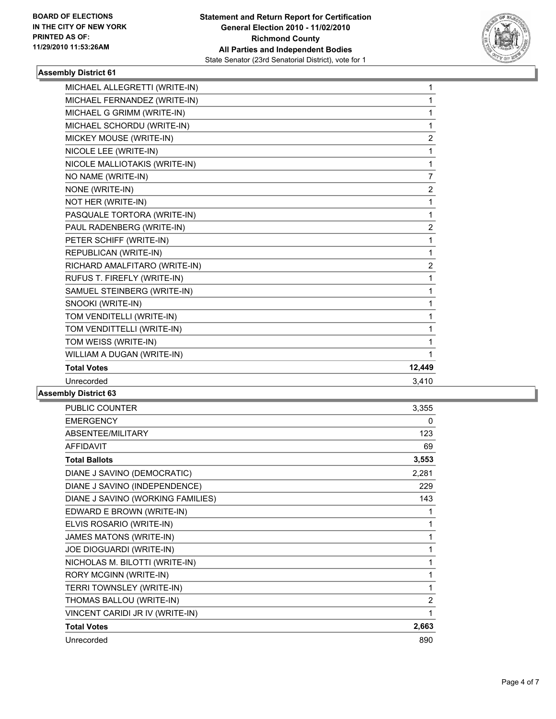

## **Assembly District 61**

| MICHAEL ALLEGRETTI (WRITE-IN) | $\mathbf{1}$   |
|-------------------------------|----------------|
| MICHAEL FERNANDEZ (WRITE-IN)  | 1              |
| MICHAEL G GRIMM (WRITE-IN)    | 1              |
| MICHAEL SCHORDU (WRITE-IN)    | 1              |
| MICKEY MOUSE (WRITE-IN)       | 2              |
| NICOLE LEE (WRITE-IN)         | 1              |
| NICOLE MALLIOTAKIS (WRITE-IN) | $\mathbf{1}$   |
| NO NAME (WRITE-IN)            | $\overline{7}$ |
| NONE (WRITE-IN)               | $\overline{c}$ |
| NOT HER (WRITE-IN)            | 1              |
| PASQUALE TORTORA (WRITE-IN)   | $\mathbf 1$    |
| PAUL RADENBERG (WRITE-IN)     | $\overline{2}$ |
| PETER SCHIFF (WRITE-IN)       | 1              |
| REPUBLICAN (WRITE-IN)         | 1              |
| RICHARD AMALFITARO (WRITE-IN) | $\overline{2}$ |
| RUFUS T. FIREFLY (WRITE-IN)   | 1              |
| SAMUEL STEINBERG (WRITE-IN)   | 1              |
| SNOOKI (WRITE-IN)             | 1              |
| TOM VENDITELLI (WRITE-IN)     | $\mathbf{1}$   |
| TOM VENDITTELLI (WRITE-IN)    | 1              |
| TOM WEISS (WRITE-IN)          | 1              |
| WILLIAM A DUGAN (WRITE-IN)    | 1              |
| <b>Total Votes</b>            | 12,449         |
| Unrecorded                    | 3,410          |
|                               |                |

#### **Assembly District 63**

| PUBLIC COUNTER                    | 3,355 |
|-----------------------------------|-------|
| <b>EMERGENCY</b>                  | 0     |
| ABSENTEE/MILITARY                 | 123   |
| <b>AFFIDAVIT</b>                  | 69    |
| <b>Total Ballots</b>              | 3,553 |
| DIANE J SAVINO (DEMOCRATIC)       | 2,281 |
| DIANE J SAVINO (INDEPENDENCE)     | 229   |
| DIANE J SAVINO (WORKING FAMILIES) | 143   |
| EDWARD E BROWN (WRITE-IN)         | 1     |
| ELVIS ROSARIO (WRITE-IN)          | 1     |
| JAMES MATONS (WRITE-IN)           | 1     |
| JOE DIOGUARDI (WRITE-IN)          | 1     |
| NICHOLAS M. BILOTTI (WRITE-IN)    | 1     |
| RORY MCGINN (WRITE-IN)            | 1     |
| TERRI TOWNSLEY (WRITE-IN)         | 1     |
| THOMAS BALLOU (WRITE-IN)          | 2     |
| VINCENT CARIDI JR IV (WRITE-IN)   | 1     |
| <b>Total Votes</b>                | 2,663 |
| Unrecorded                        | 890   |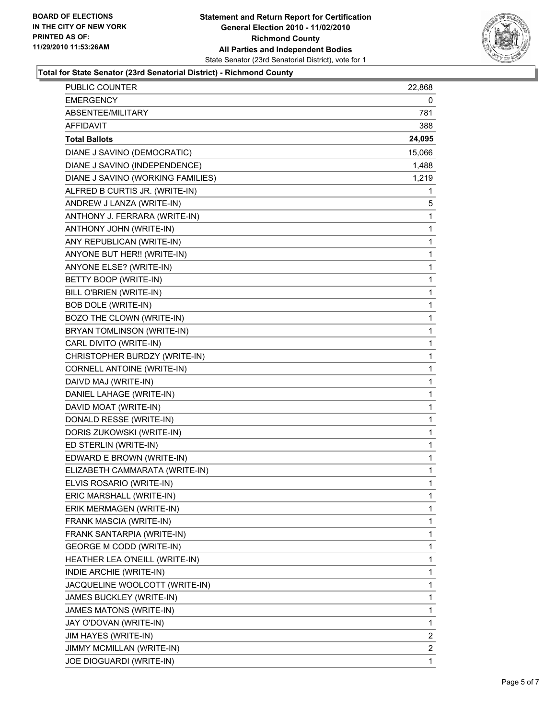

#### **Total for State Senator (23rd Senatorial District) - Richmond County**

| PUBLIC COUNTER                    | 22,868 |
|-----------------------------------|--------|
| EMERGENCY                         | 0      |
| ABSENTEE/MILITARY                 | 781    |
| AFFIDAVIT                         | 388    |
| <b>Total Ballots</b>              | 24,095 |
| DIANE J SAVINO (DEMOCRATIC)       | 15,066 |
| DIANE J SAVINO (INDEPENDENCE)     | 1,488  |
| DIANE J SAVINO (WORKING FAMILIES) | 1,219  |
| ALFRED B CURTIS JR. (WRITE-IN)    | 1      |
| ANDREW J LANZA (WRITE-IN)         | 5      |
| ANTHONY J. FERRARA (WRITE-IN)     | 1      |
| ANTHONY JOHN (WRITE-IN)           | 1      |
| ANY REPUBLICAN (WRITE-IN)         | 1      |
| ANYONE BUT HER!! (WRITE-IN)       | 1      |
| ANYONE ELSE? (WRITE-IN)           | 1      |
| BETTY BOOP (WRITE-IN)             | 1      |
| BILL O'BRIEN (WRITE-IN)           | 1      |
| <b>BOB DOLE (WRITE-IN)</b>        | 1      |
| BOZO THE CLOWN (WRITE-IN)         | 1      |
| BRYAN TOMLINSON (WRITE-IN)        | 1      |
| CARL DIVITO (WRITE-IN)            | 1      |
| CHRISTOPHER BURDZY (WRITE-IN)     | 1      |
| CORNELL ANTOINE (WRITE-IN)        | 1      |
| DAIVD MAJ (WRITE-IN)              | 1      |
| DANIEL LAHAGE (WRITE-IN)          | 1      |
| DAVID MOAT (WRITE-IN)             | 1      |
| DONALD RESSE (WRITE-IN)           | 1      |
| DORIS ZUKOWSKI (WRITE-IN)         | 1      |
| ED STERLIN (WRITE-IN)             | 1      |
| EDWARD E BROWN (WRITE-IN)         | 1      |
| ELIZABETH CAMMARATA (WRITE-IN)    | 1      |
| ELVIS ROSARIO (WRITE-IN)          | 1      |
| ERIC MARSHALL (WRITE-IN)          | 1      |
| ERIK MERMAGEN (WRITE-IN)          | 1      |
| FRANK MASCIA (WRITE-IN)           | 1      |
| FRANK SANTARPIA (WRITE-IN)        | 1      |
| <b>GEORGE M CODD (WRITE-IN)</b>   | 1      |
| HEATHER LEA O'NEILL (WRITE-IN)    | 1      |
| INDIE ARCHIE (WRITE-IN)           | 1      |
| JACQUELINE WOOLCOTT (WRITE-IN)    | 1      |
| JAMES BUCKLEY (WRITE-IN)          | 1      |
| JAMES MATONS (WRITE-IN)           | 1      |
| JAY O'DOVAN (WRITE-IN)            | 1      |
| JIM HAYES (WRITE-IN)              | 2      |
| JIMMY MCMILLAN (WRITE-IN)         | 2      |
| JOE DIOGUARDI (WRITE-IN)          | 1      |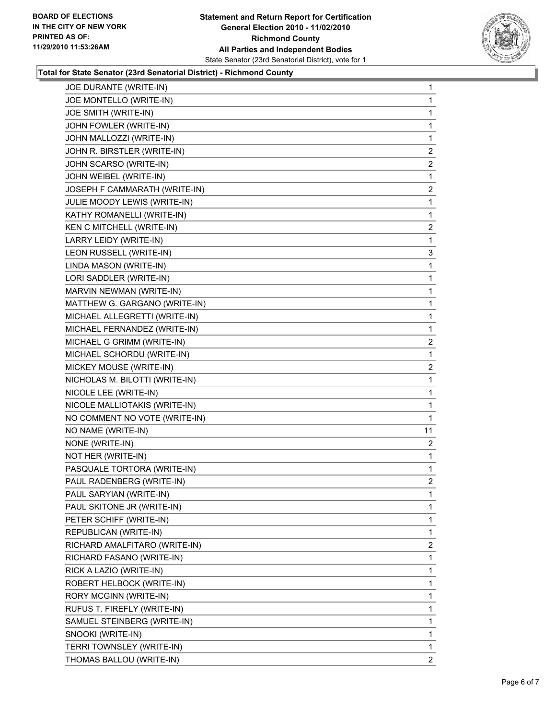

#### **Total for State Senator (23rd Senatorial District) - Richmond County**

| JOE DURANTE (WRITE-IN)         | 1              |
|--------------------------------|----------------|
| JOE MONTELLO (WRITE-IN)        | 1              |
| JOE SMITH (WRITE-IN)           | 1              |
| JOHN FOWLER (WRITE-IN)         | 1              |
| JOHN MALLOZZI (WRITE-IN)       | 1              |
| JOHN R. BIRSTLER (WRITE-IN)    | 2              |
| JOHN SCARSO (WRITE-IN)         | $\mathbf{2}$   |
| JOHN WEIBEL (WRITE-IN)         | 1              |
| JOSEPH F CAMMARATH (WRITE-IN)  | 2              |
| JULIE MOODY LEWIS (WRITE-IN)   | 1              |
| KATHY ROMANELLI (WRITE-IN)     | 1              |
| KEN C MITCHELL (WRITE-IN)      | 2              |
| LARRY LEIDY (WRITE-IN)         | 1              |
| LEON RUSSELL (WRITE-IN)        | 3              |
| LINDA MASON (WRITE-IN)         | 1              |
| LORI SADDLER (WRITE-IN)        | 1              |
| MARVIN NEWMAN (WRITE-IN)       | 1              |
| MATTHEW G. GARGANO (WRITE-IN)  | 1              |
| MICHAEL ALLEGRETTI (WRITE-IN)  | 1              |
| MICHAEL FERNANDEZ (WRITE-IN)   | 1              |
| MICHAEL G GRIMM (WRITE-IN)     | 2              |
| MICHAEL SCHORDU (WRITE-IN)     | 1              |
| MICKEY MOUSE (WRITE-IN)        | $\overline{a}$ |
| NICHOLAS M. BILOTTI (WRITE-IN) | 1              |
| NICOLE LEE (WRITE-IN)          | 1              |
| NICOLE MALLIOTAKIS (WRITE-IN)  | 1              |
| NO COMMENT NO VOTE (WRITE-IN)  | 1              |
| NO NAME (WRITE-IN)             | 11             |
| NONE (WRITE-IN)                | 2              |
| NOT HER (WRITE-IN)             | 1              |
| PASQUALE TORTORA (WRITE-IN)    | 1              |
| PAUL RADENBERG (WRITE-IN)      | $\overline{2}$ |
| PAUL SARYIAN (WRITE-IN)        | 1              |
| PAUL SKITONE JR (WRITE-IN)     | 1              |
| PETER SCHIFF (WRITE-IN)        | 1              |
| REPUBLICAN (WRITE-IN)          | 1              |
| RICHARD AMALFITARO (WRITE-IN)  | 2              |
| RICHARD FASANO (WRITE-IN)      | 1              |
| RICK A LAZIO (WRITE-IN)        | 1              |
| ROBERT HELBOCK (WRITE-IN)      | 1              |
| RORY MCGINN (WRITE-IN)         | 1              |
| RUFUS T. FIREFLY (WRITE-IN)    | 1              |
| SAMUEL STEINBERG (WRITE-IN)    | 1              |
| SNOOKI (WRITE-IN)              | 1              |
| TERRI TOWNSLEY (WRITE-IN)      | 1              |
| THOMAS BALLOU (WRITE-IN)       | $\mathbf{2}$   |